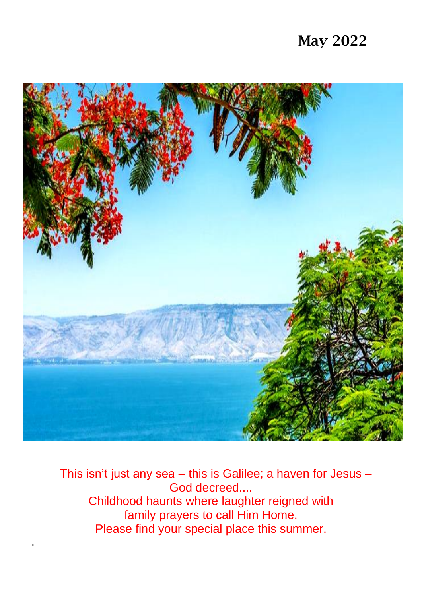# May 2022



 This isn't just any sea – this is Galilee; a haven for Jesus – God decreed.... Childhood haunts where laughter reigned with family prayers to call Him Home. Please find your special place this summer.

.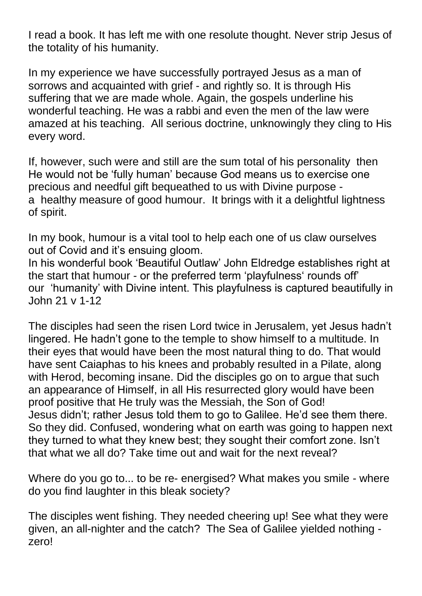I read a book. It has left me with one resolute thought. Never strip Jesus of the totality of his humanity.

In my experience we have successfully portrayed Jesus as a man of sorrows and acquainted with grief - and rightly so. It is through His suffering that we are made whole. Again, the gospels underline his wonderful teaching. He was a rabbi and even the men of the law were amazed at his teaching. All serious doctrine, unknowingly they cling to His every word.

If, however, such were and still are the sum total of his personality then He would not be 'fully human' because God means us to exercise one precious and needful gift bequeathed to us with Divine purpose a healthy measure of good humour. It brings with it a delightful lightness of spirit.

In my book, humour is a vital tool to help each one of us claw ourselves out of Covid and it's ensuing gloom.

In his wonderful book 'Beautiful Outlaw' John Eldredge establishes right at the start that humour - or the preferred term 'playfulness' rounds off' our 'humanity' with Divine intent. This playfulness is captured beautifully in John 21 v 1-12

The disciples had seen the risen Lord twice in Jerusalem, yet Jesus hadn't lingered. He hadn't gone to the temple to show himself to a multitude. In their eyes that would have been the most natural thing to do. That would have sent Caiaphas to his knees and probably resulted in a Pilate, along with Herod, becoming insane. Did the disciples go on to argue that such an appearance of Himself, in all His resurrected glory would have been proof positive that He truly was the Messiah, the Son of God! Jesus didn't; rather Jesus told them to go to Galilee. He'd see them there. So they did. Confused, wondering what on earth was going to happen next they turned to what they knew best; they sought their comfort zone. Isn't that what we all do? Take time out and wait for the next reveal?

Where do you go to... to be re- energised? What makes you smile - where do you find laughter in this bleak society?

The disciples went fishing. They needed cheering up! See what they were given, an all-nighter and the catch? The Sea of Galilee yielded nothing zero!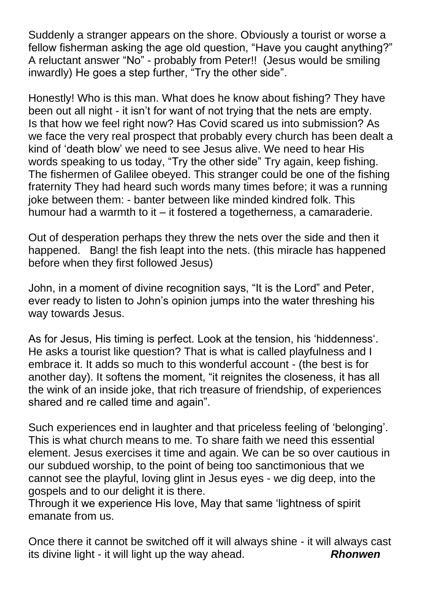Suddenly a stranger appears on the shore. Obviously a tourist or worse a fellow fisherman asking the age old question, "Have you caught anything?" A reluctant answer "No" - probably from Peter!! (Jesus would be smiling inwardly) He goes a step further, "Try the other side".

Honestly! Who is this man. What does he know about fishing? They have been out all night - it isn't for want of not trying that the nets are empty. Is that how we feel right now? Has Covid scared us into submission? As we face the very real prospect that probably every church has been dealt a kind of 'death blow' we need to see Jesus alive. We need to hear His words speaking to us today, "Try the other side" Try again, keep fishing. The fishermen of Galilee obeyed. This stranger could be one of the fishing fraternity They had heard such words many times before; it was a running joke between them: - banter between like minded kindred folk. This humour had a warmth to it – it fostered a togetherness, a camaraderie.

Out of desperation perhaps they threw the nets over the side and then it happened. Bang! the fish leapt into the nets. (this miracle has happened before when they first followed Jesus)

John, in a moment of divine recognition says, "It is the Lord" and Peter, ever ready to listen to John's opinion jumps into the water threshing his way towards Jesus.

As for Jesus, His timing is perfect. Look at the tension, his 'hiddenness'. He asks a tourist like question? That is what is called playfulness and I embrace it. It adds so much to this wonderful account - (the best is for another day). It softens the moment, "it reignites the closeness, it has all the wink of an inside joke, that rich treasure of friendship, of experiences shared and re called time and again".

Such experiences end in laughter and that priceless feeling of 'belonging'. This is what church means to me. To share faith we need this essential element. Jesus exercises it time and again. We can be so over cautious in our subdued worship, to the point of being too sanctimonious that we cannot see the playful, loving glint in Jesus eyes - we dig deep, into the gospels and to our delight it is there.

Through it we experience His love, May that same 'lightness of spirit emanate from us.

Once there it cannot be switched off it will always shine - it will always cast its divine light - it will light up the way ahead. *Rhonwen*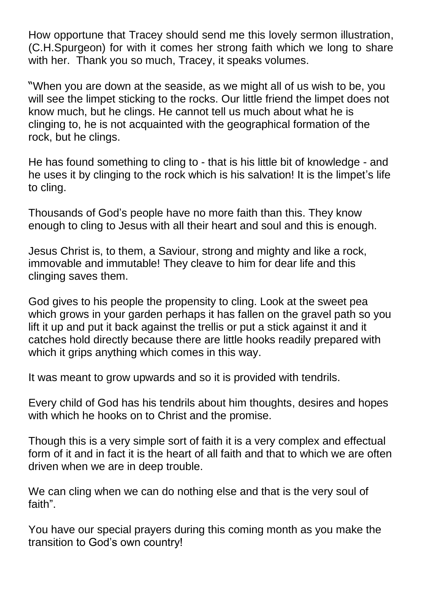How opportune that Tracey should send me this lovely sermon illustration, (C.H.Spurgeon) for with it comes her strong faith which we long to share with her. Thank you so much. Tracey, it speaks volumes.

"When you are down at the seaside, as we might all of us wish to be, you will see the limpet sticking to the rocks. Our little friend the limpet does not know much, but he clings. He cannot tell us much about what he is clinging to, he is not acquainted with the geographical formation of the rock, but he clings.

He has found something to cling to - that is his little bit of knowledge - and he uses it by clinging to the rock which is his salvation! It is the limpet's life to cling.

Thousands of God's people have no more faith than this. They know enough to cling to Jesus with all their heart and soul and this is enough.

Jesus Christ is, to them, a Saviour, strong and mighty and like a rock, immovable and immutable! They cleave to him for dear life and this clinging saves them.

God gives to his people the propensity to cling. Look at the sweet pea which grows in your garden perhaps it has fallen on the gravel path so you lift it up and put it back against the trellis or put a stick against it and it catches hold directly because there are little hooks readily prepared with which it grips anything which comes in this way.

It was meant to grow upwards and so it is provided with tendrils.

Every child of God has his tendrils about him thoughts, desires and hopes with which he hooks on to Christ and the promise.

Though this is a very simple sort of faith it is a very complex and effectual form of it and in fact it is the heart of all faith and that to which we are often driven when we are in deep trouble.

We can cling when we can do nothing else and that is the very soul of faith".

You have our special prayers during this coming month as you make the transition to God's own country!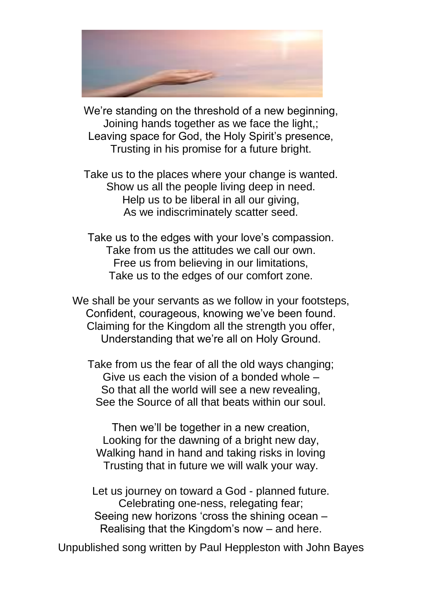

We're standing on the threshold of a new beginning, Joining hands together as we face the light,; Leaving space for God, the Holy Spirit's presence, Trusting in his promise for a future bright.

Take us to the places where your change is wanted. Show us all the people living deep in need. Help us to be liberal in all our giving. As we indiscriminately scatter seed.

Take us to the edges with your love's compassion. Take from us the attitudes we call our own. Free us from believing in our limitations, Take us to the edges of our comfort zone.

We shall be your servants as we follow in your footsteps. Confident, courageous, knowing we've been found. Claiming for the Kingdom all the strength you offer, Understanding that we're all on Holy Ground.

Take from us the fear of all the old ways changing; Give us each the vision of a bonded whole – So that all the world will see a new revealing, See the Source of all that beats within our soul.

Then we'll be together in a new creation, Looking for the dawning of a bright new day, Walking hand in hand and taking risks in loving Trusting that in future we will walk your way.

Let us journey on toward a God - planned future. Celebrating one-ness, relegating fear; Seeing new horizons 'cross the shining ocean – Realising that the Kingdom's now – and here.

Unpublished song written by Paul Heppleston with John Bayes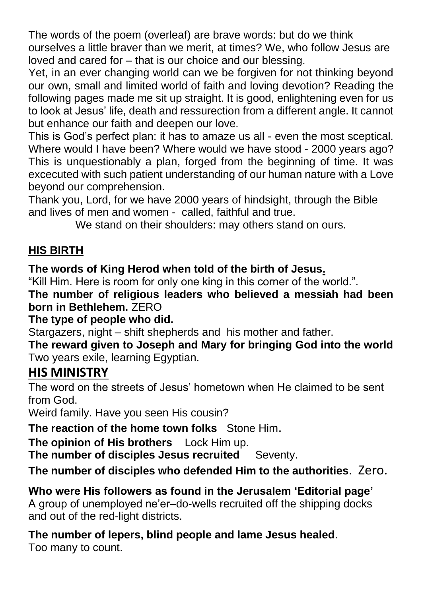The words of the poem (overleaf) are brave words: but do we think ourselves a little braver than we merit, at times? We, who follow Jesus are loved and cared for – that is our choice and our blessing.

Yet, in an ever changing world can we be forgiven for not thinking beyond our own, small and limited world of faith and loving devotion? Reading the following pages made me sit up straight. It is good, enlightening even for us to look at Jesus' life, death and ressurection from a different angle. It cannot but enhance our faith and deepen our love.

This is God's perfect plan: it has to amaze us all - even the most sceptical. Where would I have been? Where would we have stood - 2000 years ago? This is unquestionably a plan, forged from the beginning of time. It was excecuted with such patient understanding of our human nature with a Love beyond our comprehension.

Thank you, Lord, for we have 2000 years of hindsight, through the Bible and lives of men and women - called, faithful and true.

We stand on their shoulders: may others stand on ours.

### **HIS BIRTH**

**The words of King Herod when told of the birth of Jesus.**

"Kill Him. Here is room for only one king in this corner of the world.".

**The number of religious leaders who believed a messiah had been born in Bethlehem.** ZERO

**The type of people who did.**

Stargazers, night – shift shepherds and his mother and father.

**The reward given to Joseph and Mary for bringing God into the world** Two years exile, learning Egyptian.

# **HIS MINISTRY**

The word on the streets of Jesus' hometown when He claimed to be sent from God.

Weird family. Have you seen His cousin?

**The reaction of the home town folks** Stone Him.

**The opinion of His brothers** Lock Him up.

**The number of disciples Jesus recruited** Seventy.

**The number of disciples who defended Him to the authorities**. Zero.

**Who were His followers as found in the Jerusalem 'Editorial page'**  A group of unemployed ne'er–do-wells recruited off the shipping docks and out of the red-light districts.

**The number of lepers, blind people and lame Jesus healed**. Too many to count.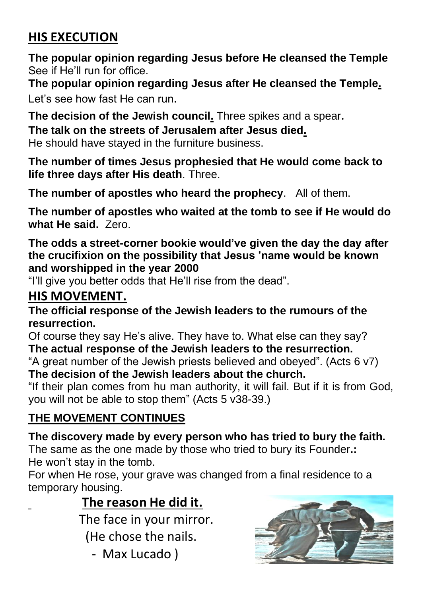# **HIS EXECUTION**

**The popular opinion regarding Jesus before He cleansed the Temple** See if He'll run for office.

**The popular opinion regarding Jesus after He cleansed the Temple.**  Let's see how fast He can run.

**The decision of the Jewish council.** Three spikes and a spear. **The talk on the streets of Jerusalem after Jesus died.**  He should have stayed in the furniture business.

**The number of times Jesus prophesied that He would come back to life three days after His death**. Three.

**The number of apostles who heard the prophecy**. All of them.

**The number of apostles who waited at the tomb to see if He would do what He said.** Zero.

**The odds a street-corner bookie would've given the day the day after the crucifixion on the possibility that Jesus 'name would be known and worshipped in the year 2000** 

"I'll give you better odds that He'll rise from the dead".

# **HIS MOVEMENT.**

**The official response of the Jewish leaders to the rumours of the resurrection.** 

Of course they say He's alive. They have to. What else can they say? **The actual response of the Jewish leaders to the resurrection.** 

"A great number of the Jewish priests believed and obeyed". (Acts 6 v7) **The decision of the Jewish leaders about the church.** 

"If their plan comes from hu man authority, it will fail. But if it is from God, you will not be able to stop them" (Acts 5 v38-39.)

# **THE MOVEMENT CONTINUES**

# **The discovery made by every person who has tried to bury the faith.**

The same as the one made by those who tried to bury its Founder**.:**  He won't stay in the tomb.

For when He rose, your grave was changed from a final residence to a temporary housing.

# **The reason He did it.**

The face in your mirror.

- (He chose the nails.
	- Max Lucado )

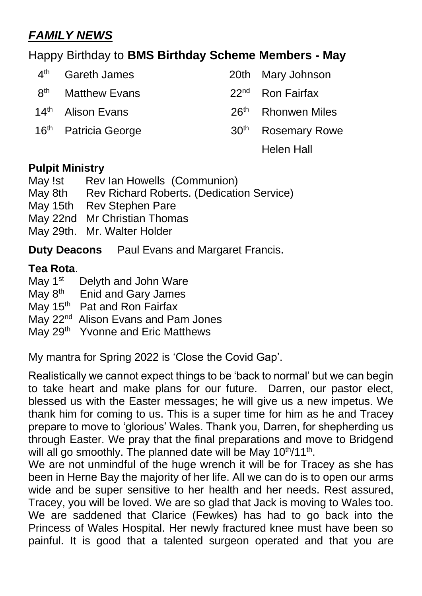# *FAMILY NEWS*

### Happy Birthday to **BMS Birthday Scheme Members - May**

| $4^{\text{th}}$ | Gareth James                     |                  | 20th Mary Johnson              |
|-----------------|----------------------------------|------------------|--------------------------------|
|                 | 8 <sup>th</sup> Matthew Evans    |                  | 22 <sup>nd</sup> Ron Fairfax   |
|                 | 14 <sup>th</sup> Alison Evans    | 26 <sup>th</sup> | <b>Rhonwen Miles</b>           |
|                 | 16 <sup>th</sup> Patricia George |                  | 30 <sup>th</sup> Rosemary Rowe |
|                 |                                  |                  | Helen Hall                     |

#### **Pulpit Ministry**

| May !st | Rev Ian Howells (Communion)                      |
|---------|--------------------------------------------------|
| May 8th | <b>Rev Richard Roberts. (Dedication Service)</b> |
|         | May 15th Rev Stephen Pare                        |
|         | May 22nd Mr Christian Thomas                     |
|         | May 29th. Mr. Walter Holder                      |
|         |                                                  |

**Duty Deacons** Paul Evans and Margaret Francis.

#### **Tea Rota**.

- May 1<sup>st</sup> Delyth and John Ware
- May 8<sup>th</sup> Enid and Gary James
- May 15<sup>th</sup> Pat and Ron Fairfax
- May 22<sup>nd</sup> Alison Evans and Pam Jones
- May 29<sup>th</sup> Yvonne and Eric Matthews

My mantra for Spring 2022 is 'Close the Covid Gap'.

Realistically we cannot expect things to be 'back to normal' but we can begin to take heart and make plans for our future. Darren, our pastor elect, blessed us with the Easter messages; he will give us a new impetus. We thank him for coming to us. This is a super time for him as he and Tracey prepare to move to 'glorious' Wales. Thank you, Darren, for shepherding us through Easter. We pray that the final preparations and move to Bridgend will all go smoothly. The planned date will be May 10<sup>th</sup>/11<sup>th</sup>.

We are not unmindful of the huge wrench it will be for Tracey as she has been in Herne Bay the majority of her life. All we can do is to open our arms wide and be super sensitive to her health and her needs. Rest assured, Tracey, you will be loved. We are so glad that Jack is moving to Wales too. We are saddened that Clarice (Fewkes) has had to go back into the Princess of Wales Hospital. Her newly fractured knee must have been so painful. It is good that a talented surgeon operated and that you are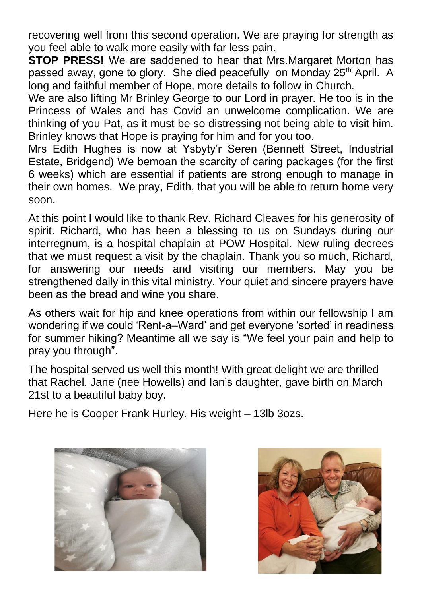recovering well from this second operation. We are praying for strength as you feel able to walk more easily with far less pain.

**STOP PRESS!** We are saddened to hear that Mrs.Margaret Morton has passed away, gone to glory. She died peacefully on Monday 25<sup>th</sup> April. A long and faithful member of Hope, more details to follow in Church.

We are also lifting Mr Brinley George to our Lord in prayer. He too is in the Princess of Wales and has Covid an unwelcome complication. We are thinking of you Pat, as it must be so distressing not being able to visit him. Brinley knows that Hope is praying for him and for you too.

Mrs Edith Hughes is now at Ysbyty'r Seren (Bennett Street, Industrial Estate, Bridgend) We bemoan the scarcity of caring packages (for the first 6 weeks) which are essential if patients are strong enough to manage in their own homes. We pray, Edith, that you will be able to return home very soon.

At this point I would like to thank Rev. Richard Cleaves for his generosity of spirit. Richard, who has been a blessing to us on Sundays during our interregnum, is a hospital chaplain at POW Hospital. New ruling decrees that we must request a visit by the chaplain. Thank you so much, Richard, for answering our needs and visiting our members. May you be strengthened daily in this vital ministry. Your quiet and sincere prayers have been as the bread and wine you share.

As others wait for hip and knee operations from within our fellowship I am wondering if we could 'Rent-a–Ward' and get everyone 'sorted' in readiness for summer hiking? Meantime all we say is "We feel your pain and help to pray you through".

The hospital served us well this month! With great delight we are thrilled that Rachel, Jane (nee Howells) and Ian's daughter, gave birth on March 21st to a beautiful baby boy.

Here he is Cooper Frank Hurley. His weight – 13lb 3ozs.



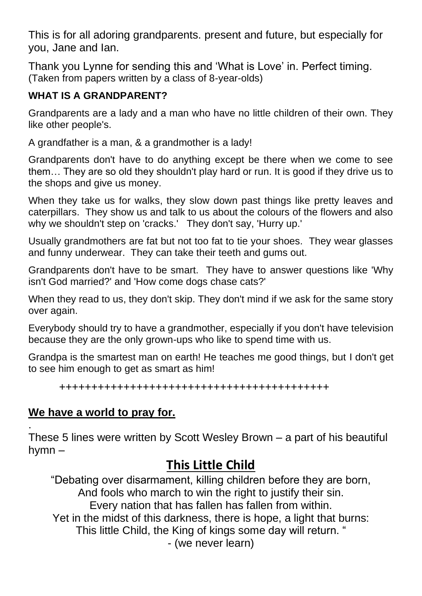This is for all adoring grandparents. present and future, but especially for you, Jane and Ian.

Thank you Lynne for sending this and 'What is Love' in. Perfect timing. (Taken from papers written by a class of 8-year-olds)

#### **WHAT IS A GRANDPARENT?**

Grandparents are a lady and a man who have no little children of their own. They like other people's.

A grandfather is a man, & a grandmother is a lady!

Grandparents don't have to do anything except be there when we come to see them… They are so old they shouldn't play hard or run. It is good if they drive us to the shops and give us money.

When they take us for walks, they slow down past things like pretty leaves and caterpillars. They show us and talk to us about the colours of the flowers and also why we shouldn't step on 'cracks.' They don't say, 'Hurry up.'

Usually grandmothers are fat but not too fat to tie your shoes. They wear glasses and funny underwear. They can take their teeth and gums out.

Grandparents don't have to be smart. They have to answer questions like 'Why isn't God married?' and 'How come dogs chase cats?'

When they read to us, they don't skip. They don't mind if we ask for the same story over again.

Everybody should try to have a grandmother, especially if you don't have television because they are the only grown-ups who like to spend time with us.

Grandpa is the smartest man on earth! He teaches me good things, but I don't get to see him enough to get as smart as him!

++++++++++++++++++++++++++++++++++++++++++

### **We have a world to pray for.**

. These 5 lines were written by Scott Wesley Brown – a part of his beautiful hymn –

# **This Little Child**

"Debating over disarmament, killing children before they are born, And fools who march to win the right to justify their sin. Every nation that has fallen has fallen from within.

Yet in the midst of this darkness, there is hope, a light that burns:

This little Child, the King of kings some day will return. "

- (we never learn)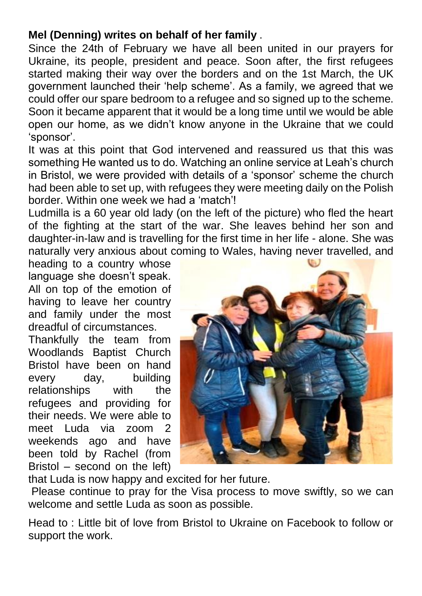#### **Mel (Denning) writes on behalf of her family** .

Since the 24th of February we have all been united in our prayers for Ukraine, its people, president and peace. Soon after, the first refugees started making their way over the borders and on the 1st March, the UK government launched their 'help scheme'. As a family, we agreed that we could offer our spare bedroom to a refugee and so signed up to the scheme. Soon it became apparent that it would be a long time until we would be able open our home, as we didn't know anyone in the Ukraine that we could 'sponsor'.

It was at this point that God intervened and reassured us that this was something He wanted us to do. Watching an online service at Leah's church in Bristol, we were provided with details of a 'sponsor' scheme the church had been able to set up, with refugees they were meeting daily on the Polish border. Within one week we had a 'match'!

Ludmilla is a 60 year old lady (on the left of the picture) who fled the heart of the fighting at the start of the war. She leaves behind her son and daughter-in-law and is travelling for the first time in her life - alone. She was naturally very anxious about coming to Wales, having never travelled, and

heading to a country whose language she doesn't speak. All on top of the emotion of having to leave her country and family under the most dreadful of circumstances.

Thankfully the team from Woodlands Baptist Church Bristol have been on hand every day, building relationships with the refugees and providing for their needs. We were able to meet Luda via zoom 2 weekends ago and have been told by Rachel (from Bristol – second on the left)



that Luda is now happy and excited for her future.

Please continue to pray for the Visa process to move swiftly, so we can welcome and settle Luda as soon as possible.

Head to : Little bit of love from Bristol to Ukraine on Facebook to follow or support the work.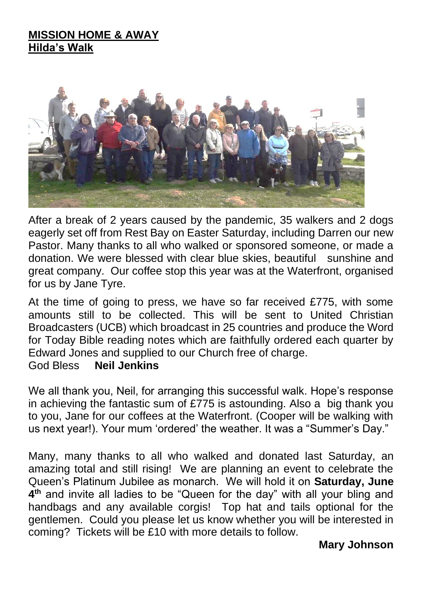#### **MISSION HOME & AWAY Hilda's Walk**



After a break of 2 years caused by the pandemic, 35 walkers and 2 dogs eagerly set off from Rest Bay on Easter Saturday, including Darren our new Pastor. Many thanks to all who walked or sponsored someone, or made a donation. We were blessed with clear blue skies, beautiful sunshine and great company. Our coffee stop this year was at the Waterfront, organised for us by Jane Tyre.

At the time of going to press, we have so far received £775, with some amounts still to be collected. This will be sent to United Christian Broadcasters (UCB) which broadcast in 25 countries and produce the Word for Today Bible reading notes which are faithfully ordered each quarter by Edward Jones and supplied to our Church free of charge.

#### God Bless **Neil Jenkins**

We all thank you, Neil, for arranging this successful walk. Hope's response in achieving the fantastic sum of £775 is astounding. Also a big thank you to you, Jane for our coffees at the Waterfront. (Cooper will be walking with us next year!). Your mum 'ordered' the weather. It was a "Summer's Day."

Many, many thanks to all who walked and donated last Saturday, an amazing total and still rising! We are planning an event to celebrate the Queen's Platinum Jubilee as monarch. We will hold it on **Saturday, June 4 th** and invite all ladies to be "Queen for the day" with all your bling and handbags and any available corgis! Top hat and tails optional for the gentlemen. Could you please let us know whether you will be interested in coming? Tickets will be £10 with more details to follow.

#### **Mary Johnson**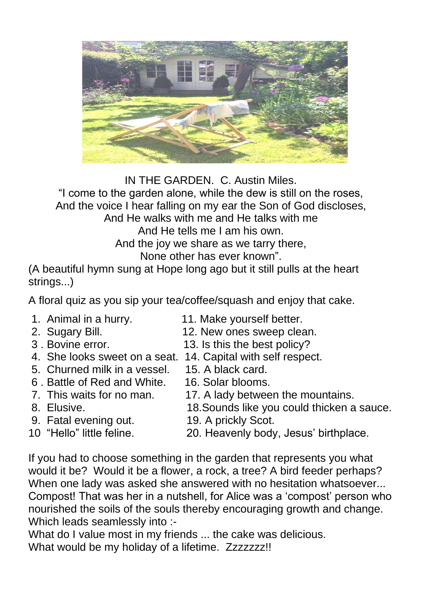

IN THE GARDEN. C. Austin Miles.

"I come to the garden alone, while the dew is still on the roses, And the voice I hear falling on my ear the Son of God discloses,

And He walks with me and He talks with me

And He tells me I am his own.

And the joy we share as we tarry there,

None other has ever known".

(A beautiful hymn sung at Hope long ago but it still pulls at the heart strings...)

A floral quiz as you sip your tea/coffee/squash and enjoy that cake.

- 
- 
- 
- 
- 5. Churned milk in a vessel. 15. A black card.
- 6 . Battle of Red and White. 16. Solar blooms.
- 
- 
- 9. Fatal evening out. 19. A prickly Scot.
- 
- 1. Animal in a hurry. 11. Make yourself better.
- 2. Sugary Bill. 12. New ones sweep clean.
- 3 . Bovine error. 13. Is this the best policy?
- 4. She looks sweet on a seat. 14. Capital with self respect.
	- -
- 7. This waits for no man. 17. A lady between the mountains.
- 8. Elusive. 18.Sounds like you could thicken a sauce.
	-
- 10 "Hello" little feline. 20. Heavenly body, Jesus' birthplace.

If you had to choose something in the garden that represents you what would it be? Would it be a flower, a rock, a tree? A bird feeder perhaps? When one lady was asked she answered with no hesitation whatsoever... Compost! That was her in a nutshell, for Alice was a 'compost' person who nourished the soils of the souls thereby encouraging growth and change. Which leads seamlessly into :-

What do I value most in my friends ... the cake was delicious. What would be my holiday of a lifetime. Zzzzzzz!!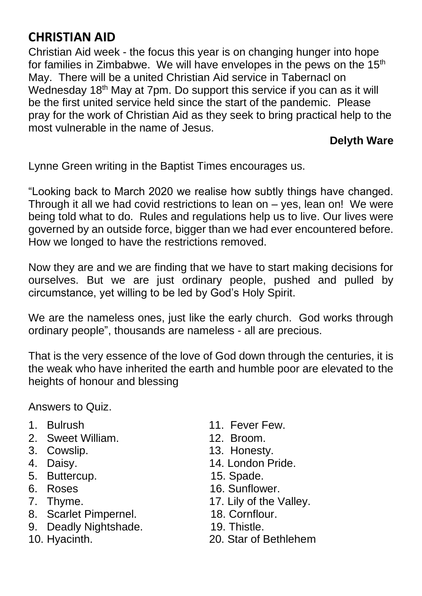# **CHRISTIAN AID**

Christian Aid week - the focus this year is on changing hunger into hope for families in Zimbabwe. We will have envelopes in the pews on the  $15<sup>th</sup>$ May. There will be a united Christian Aid service in Tabernacl on Wednesday 18<sup>th</sup> May at 7pm. Do support this service if you can as it will be the first united service held since the start of the pandemic. Please pray for the work of Christian Aid as they seek to bring practical help to the most vulnerable in the name of Jesus.

**Delyth Ware**

Lynne Green writing in the Baptist Times encourages us.

"Looking back to March 2020 we realise how subtly things have changed. Through it all we had covid restrictions to lean on – yes, lean on! We were being told what to do. Rules and regulations help us to live. Our lives were governed by an outside force, bigger than we had ever encountered before. How we longed to have the restrictions removed.

Now they are and we are finding that we have to start making decisions for ourselves. But we are just ordinary people, pushed and pulled by circumstance, yet willing to be led by God's Holy Spirit.

We are the nameless ones, just like the early church. God works through ordinary people", thousands are nameless - all are precious.

That is the very essence of the love of God down through the centuries, it is the weak who have inherited the earth and humble poor are elevated to the heights of honour and blessing

Answers to Quiz.

- 
- 2. Sweet William. 12. Broom.
- 
- 
- 5. Buttercup. 15. Spade.
- 
- 
- 8. Scarlet Pimpernel. 18. Cornflour.
- 9. Deadly Nightshade. 19. Thistle.
- 
- 1. Bulrush 11. Fever Few.
	-
- 3. Cowslip. **13. Honesty.**
- 4. Daisy. 14. London Pride.
	-
- 6. Roses 16. Sunflower.
- 7. Thyme. 2012 17. Lily of the Valley.
	-
	-
- 10. Hyacinth. 20. Star of Bethlehem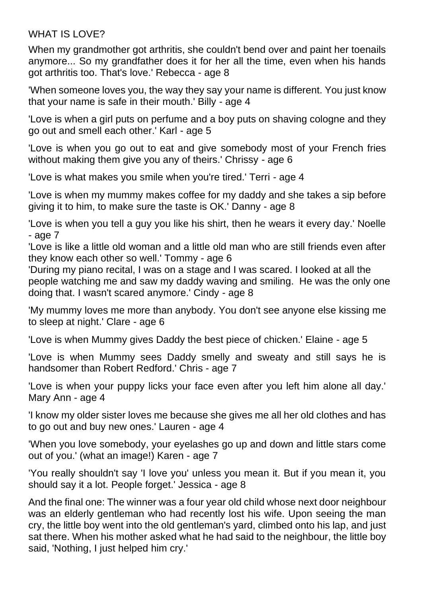#### WHAT IS LOVE?

When my grandmother got arthritis, she couldn't bend over and paint her toenails anymore... So my grandfather does it for her all the time, even when his hands got arthritis too. That's love.' Rebecca - age 8

'When someone loves you, the way they say your name is different. You just know that your name is safe in their mouth.' Billy - age 4

'Love is when a girl puts on perfume and a boy puts on shaving cologne and they go out and smell each other.' Karl - age 5

'Love is when you go out to eat and give somebody most of your French fries without making them give you any of theirs.' Chrissy - age 6

'Love is what makes you smile when you're tired.' Terri - age 4

'Love is when my mummy makes coffee for my daddy and she takes a sip before giving it to him, to make sure the taste is OK.' Danny - age 8

'Love is when you tell a guy you like his shirt, then he wears it every day.' Noelle - age 7

'Love is like a little old woman and a little old man who are still friends even after they know each other so well.' Tommy - age 6

'During my piano recital, I was on a stage and I was scared. I looked at all the people watching me and saw my daddy waving and smiling. He was the only one doing that. I wasn't scared anymore.' Cindy - age 8

'My mummy loves me more than anybody. You don't see anyone else kissing me to sleep at night.' Clare - age 6

'Love is when Mummy gives Daddy the best piece of chicken.' Elaine - age 5

'Love is when Mummy sees Daddy smelly and sweaty and still says he is handsomer than Robert Redford.' Chris - age 7

'Love is when your puppy licks your face even after you left him alone all day.' Mary Ann - age 4

'I know my older sister loves me because she gives me all her old clothes and has to go out and buy new ones.' Lauren - age 4

'When you love somebody, your eyelashes go up and down and little stars come out of you.' (what an image!) Karen - age 7

'You really shouldn't say 'I love you' unless you mean it. But if you mean it, you should say it a lot. People forget.' Jessica - age 8

And the final one: The winner was a four year old child whose next door neighbour was an elderly gentleman who had recently lost his wife. Upon seeing the man cry, the little boy went into the old gentleman's yard, climbed onto his lap, and just sat there. When his mother asked what he had said to the neighbour, the little boy said, 'Nothing, I just helped him cry.'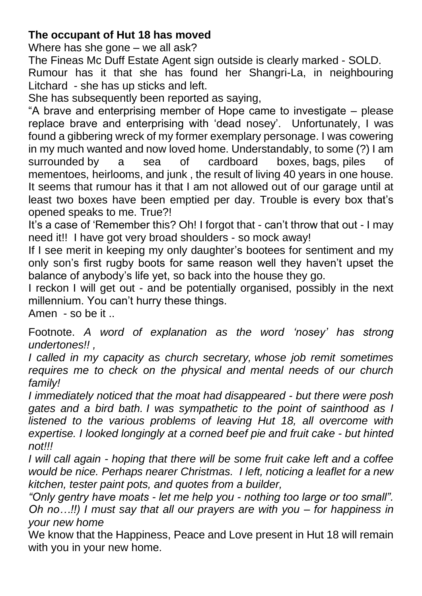#### **The occupant of Hut 18 has moved**

Where has she gone – we all ask?

The Fineas Mc Duff Estate Agent sign outside is clearly marked - SOLD. Rumour has it that she has found her Shangri-La, in neighbouring Litchard - she has up sticks and left.

She has subsequently been reported as saying,

"A brave and enterprising member of Hope came to investigate – please replace brave and enterprising with 'dead nosey'. Unfortunately, I was found a gibbering wreck of my former exemplary personage. I was cowering in my much wanted and now loved home. Understandably, to some (?) I am surrounded by a sea of cardboard boxes, bags, piles of mementoes, heirlooms, and junk , the result of living 40 years in one house. It seems that rumour has it that I am not allowed out of our garage until at least two boxes have been emptied per day. Trouble is every box that's opened speaks to me. True?!

It's a case of 'Remember this? Oh! I forgot that - can't throw that out - I may need it!! I have got very broad shoulders - so mock away!

If I see merit in keeping my only daughter's bootees for sentiment and my only son's first rugby boots for same reason well they haven't upset the balance of anybody's life yet, so back into the house they go.

I reckon I will get out - and be potentially organised, possibly in the next millennium. You can't hurry these things.

Amen - so be it ..

Footnote. *A word of explanation as the word 'nosey' has strong undertones!! ,* 

*I called in my capacity as church secretary, whose job remit sometimes requires me to check on the physical and mental needs of our church family!*

*I immediately noticed that the moat had disappeared - but there were posh gates and a bird bath. I was sympathetic to the point of sainthood as I listened to the various problems of leaving Hut 18, all overcome with expertise. I looked longingly at a corned beef pie and fruit cake - but hinted not!!!*

*I will call again - hoping that there will be some fruit cake left and a coffee would be nice. Perhaps nearer Christmas. I left, noticing a leaflet for a new kitchen, tester paint pots, and quotes from a builder,*

*"Only gentry have moats - let me help you - nothing too large or too small". Oh no…!!) I must say that all our prayers are with you – for happiness in your new home*

We know that the Happiness, Peace and Love present in Hut 18 will remain with you in your new home.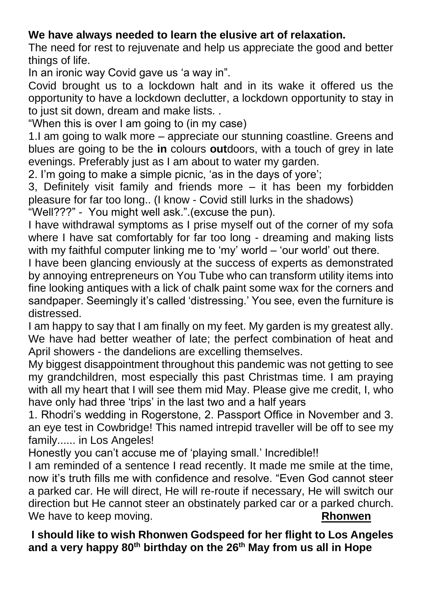### **We have always needed to learn the elusive art of relaxation.**

The need for rest to rejuvenate and help us appreciate the good and better things of life.

In an ironic way Covid gave us 'a way in".

Covid brought us to a lockdown halt and in its wake it offered us the opportunity to have a lockdown declutter, a lockdown opportunity to stay in to just sit down, dream and make lists. .

"When this is over I am going to (in my case)

1.I am going to walk more – appreciate our stunning coastline. Greens and blues are going to be the **in** colours **out**doors, with a touch of grey in late evenings. Preferably just as I am about to water my garden.

2. I'm going to make a simple picnic, 'as in the days of yore';

3, Definitely visit family and friends more – it has been my forbidden pleasure for far too long.. (I know - Covid still lurks in the shadows)

"Well???" - You might well ask.".(excuse the pun).

I have withdrawal symptoms as I prise myself out of the corner of my sofa where I have sat comfortably for far too long - dreaming and making lists with my faithful computer linking me to 'my' world – 'our world' out there.

I have been glancing enviously at the success of experts as demonstrated by annoying entrepreneurs on You Tube who can transform utility items into fine looking antiques with a lick of chalk paint some wax for the corners and sandpaper. Seemingly it's called 'distressing.' You see, even the furniture is distressed.

I am happy to say that I am finally on my feet. My garden is my greatest ally. We have had better weather of late; the perfect combination of heat and April showers - the dandelions are excelling themselves.

My biggest disappointment throughout this pandemic was not getting to see my grandchildren, most especially this past Christmas time. I am praying with all my heart that I will see them mid May. Please give me credit, I, who have only had three 'trips' in the last two and a half years

1. Rhodri's wedding in Rogerstone, 2. Passport Office in November and 3. an eye test in Cowbridge! This named intrepid traveller will be off to see my family...... in Los Angeles!

Honestly you can't accuse me of 'playing small.' Incredible!!

I am reminded of a sentence I read recently. It made me smile at the time, now it's truth fills me with confidence and resolve. "Even God cannot steer a parked car. He will direct, He will re-route if necessary, He will switch our direction but He cannot steer an obstinately parked car or a parked church. We have to keep moving. **Rhonwen** 

**I should like to wish Rhonwen Godspeed for her flight to Los Angeles and a very happy 80th birthday on the 26th May from us all in Hope**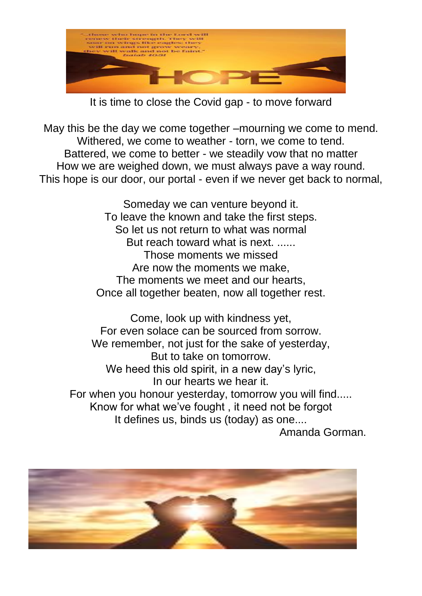

It is time to close the Covid gap - to move forward

May this be the day we come together –mourning we come to mend. Withered, we come to weather - torn, we come to tend. Battered, we come to better - we steadily vow that no matter How we are weighed down, we must always pave a way round. This hope is our door, our portal - even if we never get back to normal,

> Someday we can venture beyond it. To leave the known and take the first steps. So let us not return to what was normal But reach toward what is next. ...... Those moments we missed Are now the moments we make, The moments we meet and our hearts, Once all together beaten, now all together rest.

Come, look up with kindness yet, For even solace can be sourced from sorrow. We remember, not just for the sake of vesterday, But to take on tomorrow. We heed this old spirit, in a new day's lyric, In our hearts we hear it. For when you honour yesterday, tomorrow you will find..... Know for what we've fought , it need not be forgot It defines us, binds us (today) as one....

Amanda Gorman.

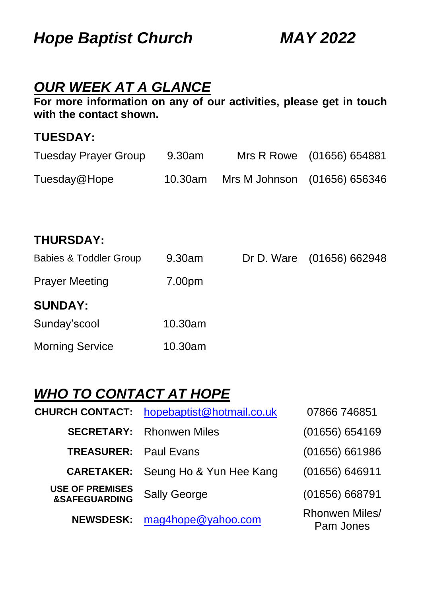*Hope Baptist Church MAY 2022*

### *OUR WEEK AT A GLANCE*

**For more information on any of our activities, please get in touch with the contact shown.**

#### **TUESDAY:**

| Tuesday Prayer Group | 9.30am  |                              | Mrs R Rowe (01656) 654881 |
|----------------------|---------|------------------------------|---------------------------|
| Tuesday@Hope         | 10.30am | Mrs M Johnson (01656) 656346 |                           |
|                      |         |                              |                           |

### **THURSDAY:**

| <b>Babies &amp; Toddler Group</b> | 9.30am  | Dr D. Ware (01656) 662948 |
|-----------------------------------|---------|---------------------------|
| <b>Prayer Meeting</b>             | 7.00pm  |                           |
| <b>SUNDAY:</b>                    |         |                           |
| Sunday'scool                      | 10.30am |                           |
| <b>Morning Service</b>            | 10.30am |                           |

# *WHO TO CONTACT AT HOPE*

| <b>CHURCH CONTACT:</b>                             | hopebaptist@hotmail.co.uk | 07866 746851                |
|----------------------------------------------------|---------------------------|-----------------------------|
| <b>SECRETARY:</b>                                  | <b>Rhonwen Miles</b>      | (01656) 654169              |
| <b>TREASURER: Paul Evans</b>                       |                           | (01656) 661986              |
| <b>CARETAKER:</b>                                  | Seung Ho & Yun Hee Kang   | (01656) 646911              |
| <b>USE OF PREMISES</b><br><b>&amp;SAFEGUARDING</b> | <b>Sally George</b>       | (01656) 668791              |
| <b>NEWSDESK:</b>                                   | mag4hope@yahoo.com        | Rhonwen Miles/<br>Pam Jones |